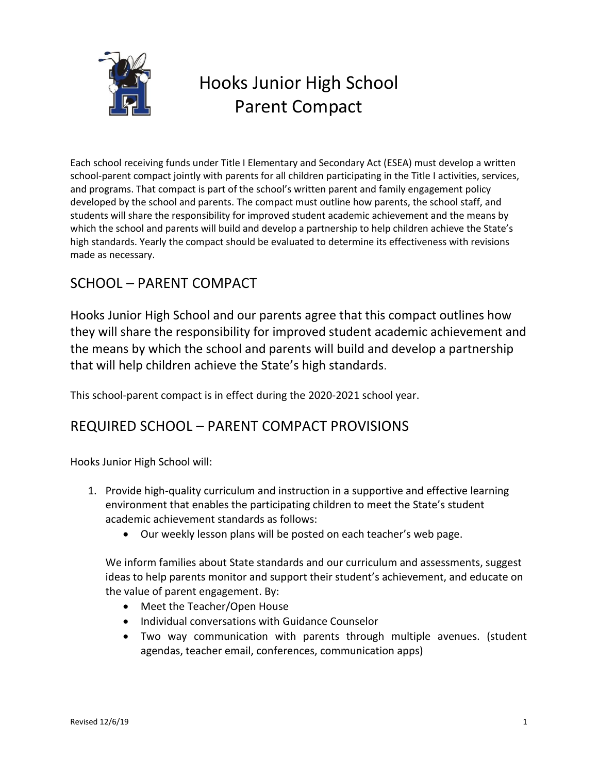

# Hooks Junior High School Parent Compact

Each school receiving funds under Title I Elementary and Secondary Act (ESEA) must develop a written school-parent compact jointly with parents for all children participating in the Title I activities, services, and programs. That compact is part of the school's written parent and family engagement policy developed by the school and parents. The compact must outline how parents, the school staff, and students will share the responsibility for improved student academic achievement and the means by which the school and parents will build and develop a partnership to help children achieve the State's high standards. Yearly the compact should be evaluated to determine its effectiveness with revisions made as necessary.

## SCHOOL – PARENT COMPACT

Hooks Junior High School and our parents agree that this compact outlines how they will share the responsibility for improved student academic achievement and the means by which the school and parents will build and develop a partnership that will help children achieve the State's high standards.

This school-parent compact is in effect during the 2020-2021 school year.

## REQUIRED SCHOOL – PARENT COMPACT PROVISIONS

Hooks Junior High School will:

- 1. Provide high-quality curriculum and instruction in a supportive and effective learning environment that enables the participating children to meet the State's student academic achievement standards as follows:
	- Our weekly lesson plans will be posted on each teacher's web page.

We inform families about State standards and our curriculum and assessments, suggest ideas to help parents monitor and support their student's achievement, and educate on the value of parent engagement. By:

- Meet the Teacher/Open House
- Individual conversations with Guidance Counselor
- Two way communication with parents through multiple avenues. (student agendas, teacher email, conferences, communication apps)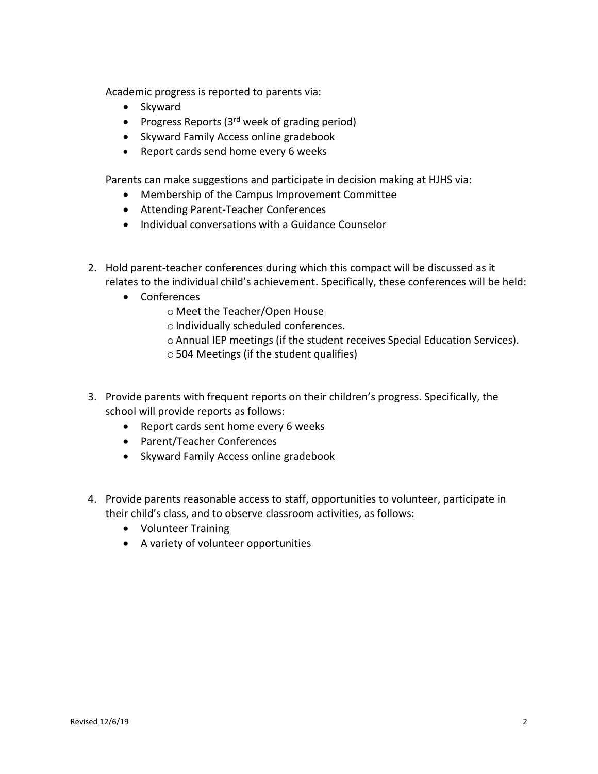Academic progress is reported to parents via:

- Skyward
- Progress Reports  $(3<sup>rd</sup>$  week of grading period)
- Skyward Family Access online gradebook
- Report cards send home every 6 weeks

Parents can make suggestions and participate in decision making at HJHS via:

- Membership of the Campus Improvement Committee
- Attending Parent-Teacher Conferences
- Individual conversations with a Guidance Counselor
- 2. Hold parent-teacher conferences during which this compact will be discussed as it relates to the individual child's achievement. Specifically, these conferences will be held:
	- Conferences
		- o Meet the Teacher/Open House
		- $\circ$  Individually scheduled conferences.
		- oAnnual IEP meetings (if the student receives Special Education Services).
		- o504 Meetings (if the student qualifies)
- 3. Provide parents with frequent reports on their children's progress. Specifically, the school will provide reports as follows:
	- Report cards sent home every 6 weeks
	- Parent/Teacher Conferences
	- Skyward Family Access online gradebook
- 4. Provide parents reasonable access to staff, opportunities to volunteer, participate in their child's class, and to observe classroom activities, as follows:
	- Volunteer Training
	- A variety of volunteer opportunities